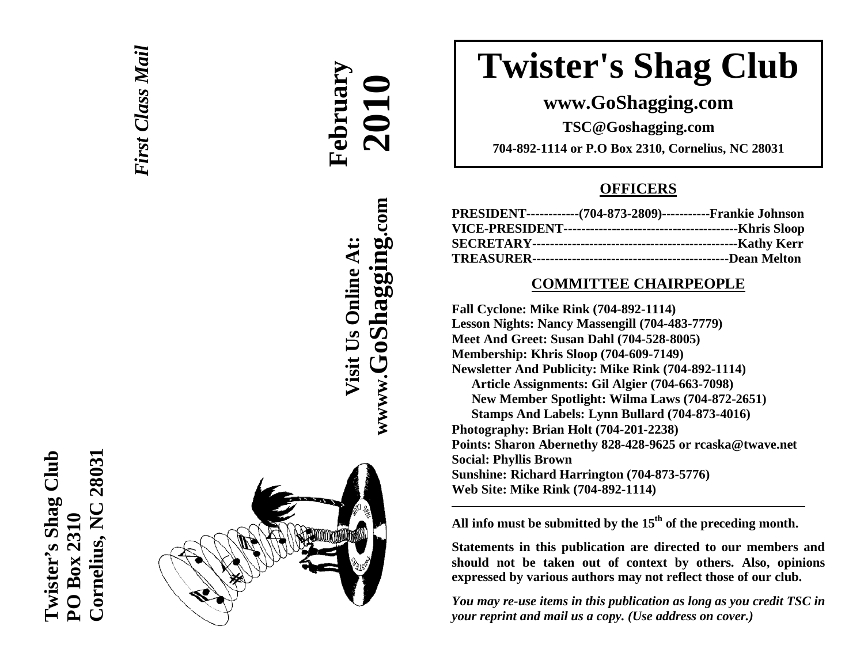



# **February 2010**

**wwww.GoShagging.com** www.GoShagging.com **Visit Us Online At:** Visit Us Online At:

# **Twister's Shag Club**

## **www.GoShagging.com**

**TSC@Goshagging.com 704-892-1114 or P.O Box 2310, Cornelius, NC 28031** 

## **OFFICERS**

| PRESIDENT------------(704-873-2809)-----------Frankie Johnson |  |
|---------------------------------------------------------------|--|
|                                                               |  |
|                                                               |  |
|                                                               |  |

#### **COMMITTEE CHAIRPEOPLE**

**Fall Cyclone: Mike Rink (704-892-1114) Lesson Nights: Nancy Massengill (704-483-7779) Meet And Greet: Susan Dahl (704-528-8005) Membership: Khris Sloop (704-609-7149) Newsletter And Publicity: Mike Rink (704-892-1114) Article Assignments: Gil Algier (704-663-7098) New Member Spotlight: Wilma Laws (704-872-2651) Stamps And Labels: Lynn Bullard (704-873-4016) Photography: Brian Holt (704-201-2238) Points: Sharon Abernethy 828-428-9625 or rcaska@twave.net Social: Phyllis Brown Sunshine: Richard Harrington (704-873-5776) Web Site: Mike Rink (704-892-1114)** 

**All info must be submitted by the 15th of the preceding month.** 

**Statements in this publication are directed to our members and should not be taken out of context by others. Also, opinions expressed by various authors may not reflect those of our club.** 

*You may re-use items in this publication as long as you credit TSC in your reprint and mail us a copy. (Use address on cover.)*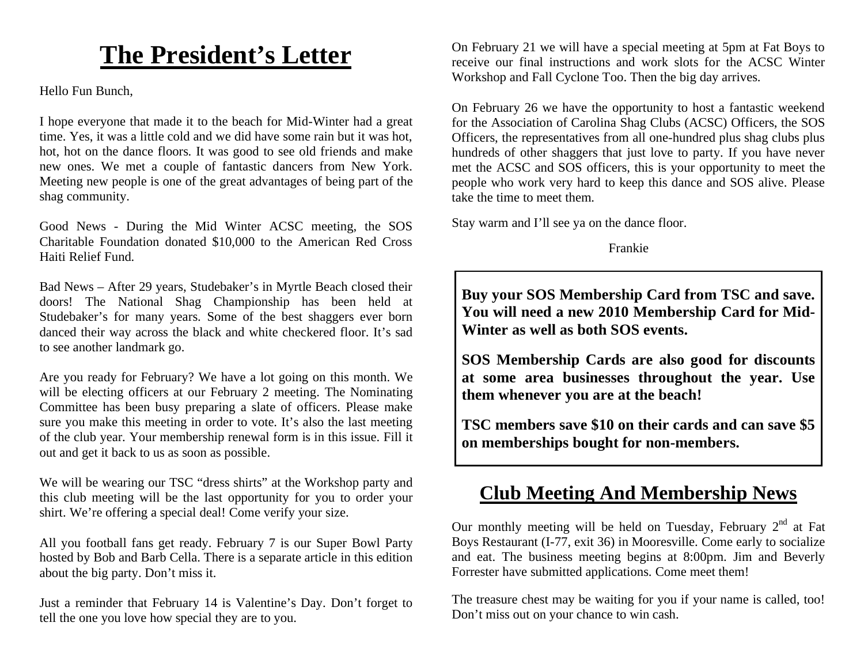## **The President's Letter**

Hello Fun Bunch,

I hope everyone that made it to the beach for Mid-Winter had a great time. Yes, it was a little cold and we did have some rain but it was hot, hot, hot on the dance floors. It was good to see old friends and make new ones. We met a couple of fantastic dancers from New York. Meeting new people is one of the great advantages of being part of the shag community.

Good News - During the Mid Winter ACSC meeting, the SOS Charitable Foundation donated \$10,000 to the American Red Cross Haiti Relief Fund.

Bad News – After 29 years, Studebaker's in Myrtle Beach closed their doors! The National Shag Championship has been held at Studebaker's for many years. Some of the best shaggers ever born danced their way across the black and white checkered floor. It's sad to see another landmark go.

Are you ready for February? We have a lot going on this month. We will be electing officers at our February 2 meeting. The Nominating Committee has been busy preparing a slate of officers. Please make sure you make this meeting in order to vote. It's also the last meeting of the club year. Your membership renewal form is in this issue. Fill it out and get it back to us as soon as possible.

We will be wearing our TSC "dress shirts" at the Workshop party and this club meeting will be the last opportunity for you to order your shirt. We're offering a special deal! Come verify your size.

All you football fans get ready. February 7 is our Super Bowl Party hosted by Bob and Barb Cella. There is a separate article in this edition about the big party. Don't miss it.

Just a reminder that February 14 is Valentine's Day. Don't forget to tell the one you love how special they are to you.

On February 21 we will have a special meeting at 5pm at Fat Boys to receive our final instructions and work slots for the ACSC Winter Workshop and Fall Cyclone Too. Then the big day arrives.

On February 26 we have the opportunity to host a fantastic weekend for the Association of Carolina Shag Clubs (ACSC) Officers, the SOS Officers, the representatives from all one-hundred plus shag clubs plus hundreds of other shaggers that just love to party. If you have never met the ACSC and SOS officers, this is your opportunity to meet the people who work very hard to keep this dance and SOS alive. Please take the time to meet them.

Stay warm and I'll see ya on the dance floor.

Frankie

**Buy your SOS Membership Card from TSC and save. You will need a new 2010 Membership Card for Mid-Winter as well as both SOS events.** 

**SOS Membership Cards are also good for discounts at some area businesses throughout the year. Use them whenever you are at the beach!** 

**TSC members save \$10 on their cards and can save \$5 on memberships bought for non-members.** 

## **Club Meeting And Membership News**

Our monthly meeting will be held on Tuesday, February  $2<sup>nd</sup>$  at Fat Boys Restaurant (I-77, exit 36) in Mooresville. Come early to socialize and eat. The business meeting begins at 8:00pm. Jim and Beverly Forrester have submitted applications. Come meet them!

The treasure chest may be waiting for you if your name is called, too! Don't miss out on your chance to win cash.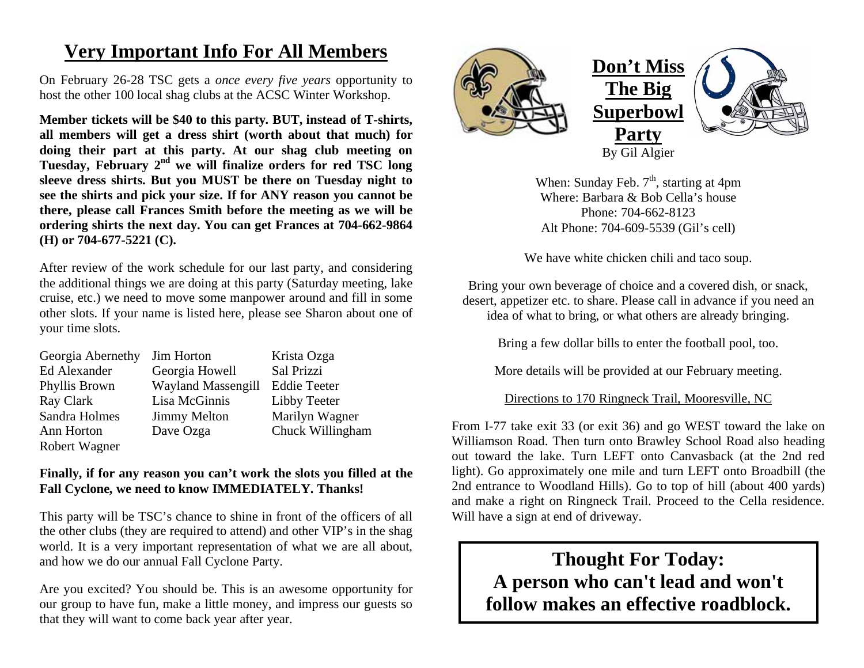## **Very Important Info For All Members**

On February 26-28 TSC gets a *once every five years* opportunity to host the other 100 local shag clubs at the ACSC Winter Workshop.

**Member tickets will be \$40 to this party. BUT, instead of T-shirts, all members will get a dress shirt (worth about that much) for doing their part at this party. At our shag club meeting on Tuesday, February 2nd we will finalize orders for red TSC long sleeve dress shirts. But you MUST be there on Tuesday night to see the shirts and pick your size. If for ANY reason you cannot be there, please call Frances Smith before the meeting as we will be ordering shirts the next day. You can get Frances at 704-662-9864 (H) or 704-677-5221 (C).** 

After review of the work schedule for our last party, and considering the additional things we are doing at this party (Saturday meeting, lake cruise, etc.) we need to move some manpower around and fill in some other slots. If your name is listed here, please see Sharon about one of your time slots.

| Georgia Abernethy | Jim Horton                | Krista Ozga         |
|-------------------|---------------------------|---------------------|
| Ed Alexander      | Georgia Howell            | Sal Prizzi          |
| Phyllis Brown     | <b>Wayland Massengill</b> | <b>Eddie Teeter</b> |
| Ray Clark         | Lisa McGinnis             | Libby Teeter        |
| Sandra Holmes     | <b>Jimmy Melton</b>       | Marilyn Wagner      |
| Ann Horton        | Dave Ozga                 | Chuck Willingham    |
| Robert Wagner     |                           |                     |

#### **Finally, if for any reason you can't work the slots you filled at the Fall Cyclone, we need to know IMMEDIATELY. Thanks!**

This party will be TSC's chance to shine in front of the officers of all the other clubs (they are required to attend) and other VIP's in the shag world. It is a very important representation of what we are all about, and how we do our annual Fall Cyclone Party.

Are you excited? You should be. This is an awesome opportunity for our group to have fun, make a little money, and impress our guests so that they will want to come back year after year.



When: Sunday Feb.  $7<sup>th</sup>$ , starting at 4pm Where: Barbara & Bob Cella's house Phone: 704-662-8123 Alt Phone: 704-609-5539 (Gil's cell)

We have white chicken chili and taco soup.

Bring your own beverage of choice and a covered dish, or snack, desert, appetizer etc. to share. Please call in advance if you need an idea of what to bring, or what others are already bringing.

Bring a few dollar bills to enter the football pool, too.

More details will be provided at our February meeting.

Directions to 170 Ringneck Trail, Mooresville, NC

From I-77 take exit 33 (or exit 36) and go WEST toward the lake on Williamson Road. Then turn onto Brawley School Road also heading out toward the lake. Turn LEFT onto Canvasback (at the 2nd red light). Go approximately one mile and turn LEFT onto Broadbill (the 2nd entrance to Woodland Hills). Go to top of hill (about 400 yards) and make a right on Ringneck Trail. Proceed to the Cella residence. Will have a sign at end of driveway.

**Thought For Today: A person who can't lead and won't follow makes an effective roadblock.**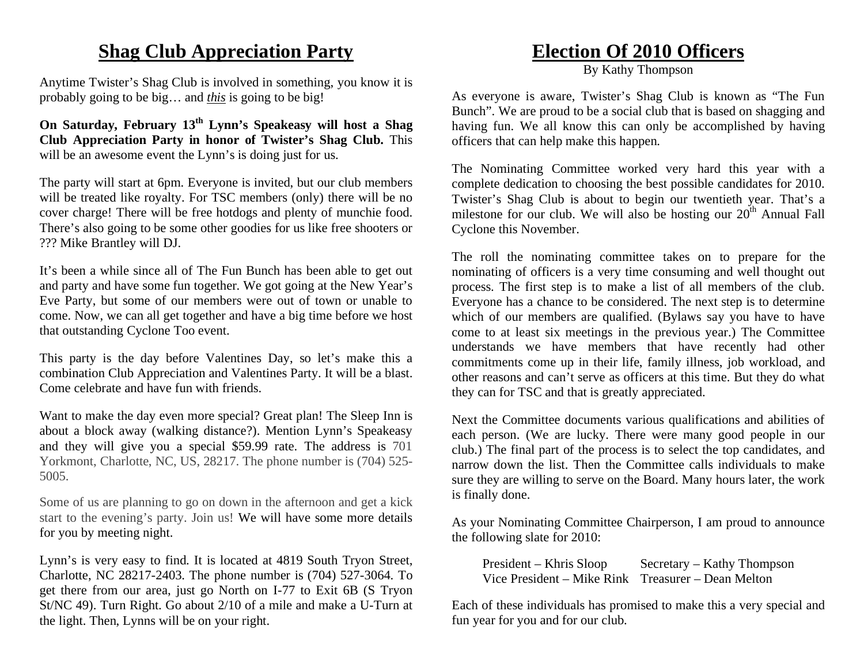## **Shag Club Appreciation Party**

Anytime Twister's Shag Club is involved in something, you know it is probably going to be big… and *this* is going to be big!

**On Saturday, February 13th Lynn's Speakeasy will host a Shag Club Appreciation Party in honor of Twister's Shag Club.** This will be an awesome event the Lynn's is doing just for us.

The party will start at 6pm. Everyone is invited, but our club members will be treated like royalty. For TSC members (only) there will be no cover charge! There will be free hotdogs and plenty of munchie food. There's also going to be some other goodies for us like free shooters or ??? Mike Brantley will DJ.

It's been a while since all of The Fun Bunch has been able to get out and party and have some fun together. We got going at the New Year's Eve Party, but some of our members were out of town or unable to come. Now, we can all get together and have a big time before we host that outstanding Cyclone Too event.

This party is the day before Valentines Day, so let's make this a combination Club Appreciation and Valentines Party. It will be a blast. Come celebrate and have fun with friends.

Want to make the day even more special? Great plan! The Sleep Inn is about a block away (walking distance?). Mention Lynn's Speakeasy and they will give you a special \$59.99 rate. The address is 701 Yorkmont, Charlotte, NC, US, 28217. The phone number is (704) 525- 5005.

Some of us are planning to go on down in the afternoon and get a kick start to the evening's party. Join us! We will have some more details for you by meeting night.

Lynn's is very easy to find. It is located at 4819 South Tryon Street, Charlotte, NC 28217-2403. The phone number is (704) 527-3064. To get there from our area, just go North on I-77 to Exit 6B (S Tryon St/NC 49). Turn Right. Go about 2/10 of a mile and make a U-Turn at the light. Then, Lynns will be on your right.

## **Election Of 2010 Officers**

By Kathy Thompson

As everyone is aware, Twister's Shag Club is known as "The Fun Bunch". We are proud to be a social club that is based on shagging and having fun. We all know this can only be accomplished by having officers that can help make this happen.

The Nominating Committee worked very hard this year with a complete dedication to choosing the best possible candidates for 2010. Twister's Shag Club is about to begin our twentieth year. That's a milestone for our club. We will also be hosting our  $20<sup>th</sup>$  Annual Fall Cyclone this November.

The roll the nominating committee takes on to prepare for the nominating of officers is a very time consuming and well thought out process. The first step is to make a list of all members of the club. Everyone has a chance to be considered. The next step is to determine which of our members are qualified. (Bylaws say you have to have come to at least six meetings in the previous year.) The Committee understands we have members that have recently had other commitments come up in their life, family illness, job workload, and other reasons and can't serve as officers at this time. But they do what they can for TSC and that is greatly appreciated.

Next the Committee documents various qualifications and abilities of each person. (We are lucky. There were many good people in our club.) The final part of the process is to select the top candidates, and narrow down the list. Then the Committee calls individuals to make sure they are willing to serve on the Board. Many hours later, the work is finally done.

As your Nominating Committee Chairperson, I am proud to announce the following slate for 2010:

President – Khris Sloop Secretary – Kathy Thompson Vice President – Mike Rink Treasurer – Dean Melton

Each of these individuals has promised to make this a very special and fun year for you and for our club.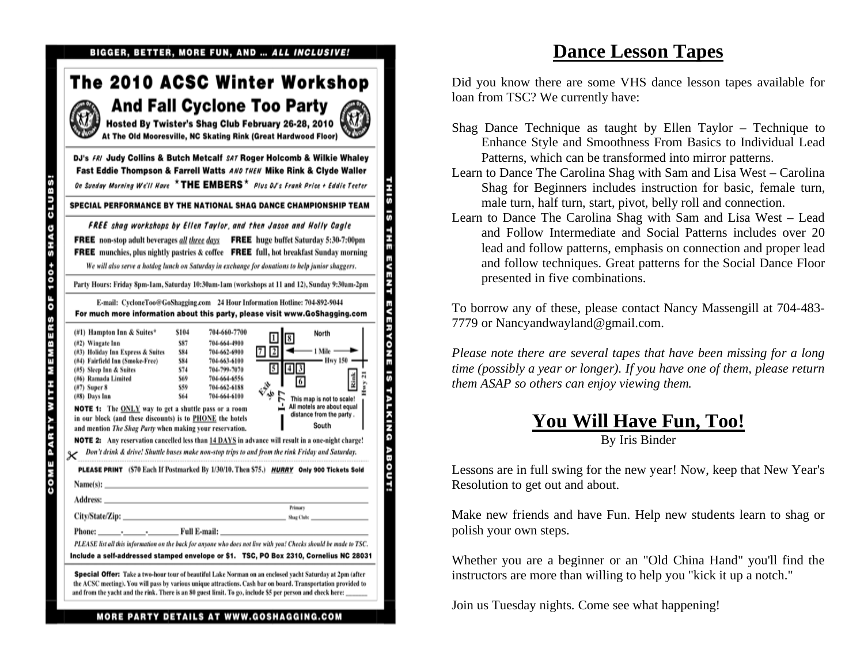|                                                                                                                                                                                                                                                                                                                                                                                                                                 |                                                               |                                                                                                                              | The 2010 ACSC Winter Workshop<br><b>And Fall Cyclone Too Party</b><br>Hosted By Twister's Shag Club February 26-28, 2010<br>At The Old Mooresville, NC Skating Rink (Great Hardwood Floor)                                                                                                                                                                                                                                                                                                                    |
|---------------------------------------------------------------------------------------------------------------------------------------------------------------------------------------------------------------------------------------------------------------------------------------------------------------------------------------------------------------------------------------------------------------------------------|---------------------------------------------------------------|------------------------------------------------------------------------------------------------------------------------------|---------------------------------------------------------------------------------------------------------------------------------------------------------------------------------------------------------------------------------------------------------------------------------------------------------------------------------------------------------------------------------------------------------------------------------------------------------------------------------------------------------------|
|                                                                                                                                                                                                                                                                                                                                                                                                                                 |                                                               |                                                                                                                              | DJ's FRI Judy Collins & Butch Metcalf SAT Roger Holcomb & Wilkie Whaley<br>Fast Eddie Thompson & Farrell Watts AND THEN Mike Rink & Clyde Waller<br>On Sunday Morning We'll Have $\star$ THE EMBERS $\star$ Plus DJ's Frank Price + Eddie Teeter<br>SPECIAL PERFORMANCE BY THE NATIONAL SHAG DANCE CHAMPIONSHIP TEAM                                                                                                                                                                                          |
|                                                                                                                                                                                                                                                                                                                                                                                                                                 |                                                               |                                                                                                                              | FREE shag workshops by Ellen Taylor, and then Jason and Holly Cagle                                                                                                                                                                                                                                                                                                                                                                                                                                           |
|                                                                                                                                                                                                                                                                                                                                                                                                                                 |                                                               |                                                                                                                              | <b>FREE</b> non-stop adult beverages all three days <b>FREE</b> huge buffet Saturday 5:30-7:00pm<br><b>FREE</b> munchies, plus nightly pastries & coffee <b>FREE</b> full, hot breakfast Sunday morning<br>We will also serve a hotdog lunch on Saturday in exchange for donations to help junior shaggers.                                                                                                                                                                                                   |
|                                                                                                                                                                                                                                                                                                                                                                                                                                 |                                                               |                                                                                                                              | Party Hours: Friday 8pm-1am, Saturday 10:30am-1am (workshops at 11 and 12), Sunday 9:30am-2pm                                                                                                                                                                                                                                                                                                                                                                                                                 |
|                                                                                                                                                                                                                                                                                                                                                                                                                                 |                                                               |                                                                                                                              | E-mail: CycloneToo@GoShagging.com 24 Hour Information Hotline: 704-892-9044<br>For much more information about this party, please visit www.GoShagging.com                                                                                                                                                                                                                                                                                                                                                    |
| (#1) Hampton Inn & Suites*<br>$(#2)$ Wingate Inn<br>(#3) Holiday Inn Express & Suites<br>(#4) Fairfield Inn (Smoke-Free)<br>(#5) Sleep Inn & Suites<br>(#6) Ramada Limited<br>$(17)$ Super 8<br>(#8) Days Inn<br><b>NOTE 1:</b> The <b>ONLY</b> way to get a shuttle pass or a room<br>in our block (and these discounts) is to PHONE the hotels<br>and mention <i>The Shag Party</i> when making your reservation.<br>Name(s): | \$104<br>\$87<br>\$84<br>\$84<br>\$74<br>\$69<br>\$59<br>\$64 | 704-660-7700<br>704-664-4900<br>704-662-6900<br>704-663-6100<br>704-799-7070<br>704-664-6556<br>704-662-6188<br>704-664-6100 | North<br>$\sqrt{2}$<br>- 1 Mile —<br>71<br>- Hwy 150 -<br>5<br>$4 \, 3$<br>Rink<br>ا ديگري<br>جا<br>This map is not to scale!<br>All motels are about equal<br>distance from the party.<br>South<br><b>NOTE 2:</b> Any reservation cancelled less than 14 DAYS in advance will result in a one-night charge!<br>Don't drink & drive! Shuttle buses make non-stop trips to and from the rink Friday and Saturday.<br>PLEASE PRINT (\$70 Each If Postmarked By 1/30/10. Then \$75.) HURRY Only 900 Tickets Sold |
| Address:<br>City/State/Zip: _____                                                                                                                                                                                                                                                                                                                                                                                               |                                                               |                                                                                                                              | <b>Primary</b><br>Shag Club:                                                                                                                                                                                                                                                                                                                                                                                                                                                                                  |
| Phone:                                                                                                                                                                                                                                                                                                                                                                                                                          | __ Full E-mail: _                                             |                                                                                                                              | PLEASE list all this information on the back for anyone who does not live with you! Checks should be made to TSC.<br>Include a self-addressed stamped envelope or \$1. TSC, PO Box 2310, Cornelius NC 28031                                                                                                                                                                                                                                                                                                   |
|                                                                                                                                                                                                                                                                                                                                                                                                                                 |                                                               |                                                                                                                              | Special Offer: Take a two-hour tour of beautiful Lake Norman on an enclosed yacht Saturday at 2pm (after<br>the ACSC meeting). You will pass by various unique attractions. Cash bar on board. Transportation provided to                                                                                                                                                                                                                                                                                     |

**THIS IS THE EVENT EVERYONE IS TALKING ABOUT!** 

### **Dance Lesson Tapes**

Did you know there are some VHS dance lesson tapes available for loan from TSC? We currently have:

- Shag Dance Technique as taught by Ellen Taylor Technique to Enhance Style and Smoothness From Basics to Individual Lead Patterns, which can be transformed into mirror patterns.
- Learn to Dance The Carolina Shag with Sam and Lisa West Carolina Shag for Beginners includes instruction for basic, female turn, male turn, half turn, start, pivot, belly roll and connection.
- Learn to Dance The Carolina Shag with Sam and Lisa West Lead and Follow Intermediate and Social Patterns includes over 20 lead and follow patterns, emphasis on connection and proper lead and follow techniques. Great patterns for the Social Dance Floor presented in five combinations.

To borrow any of these, please contact Nancy Massengill at 704-483- 7779 or Nancyandwayland@gmail.com.

*Please note there are several tapes that have been missing for a long time (possibly a year or longer). If you have one of them, please return them ASAP so others can enjoy viewing them.* 

#### **You Will Have Fun, Too!** By Iris Binder

Lessons are in full swing for the new year! Now, keep that New Year's Resolution to get out and about.

Make new friends and have Fun. Help new students learn to shag or polish your own steps.

Whether you are a beginner or an "Old China Hand" you'll find the instructors are more than willing to help you "kick it up a notch."

Join us Tuesday nights. Come see what happening!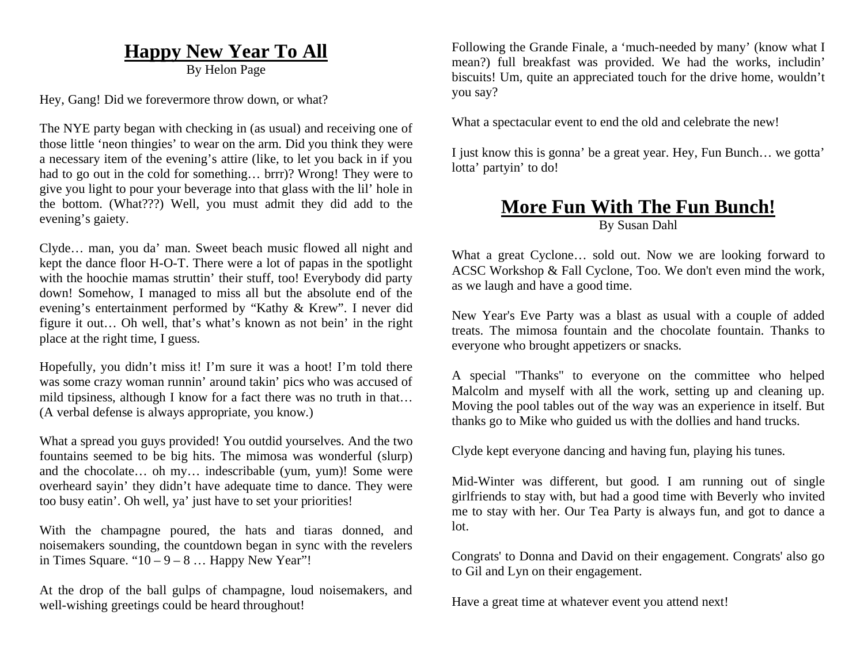## **Happy New Year To All**

By Helon Page

Hey, Gang! Did we forevermore throw down, or what?

The NYE party began with checking in (as usual) and receiving one of those little 'neon thingies' to wear on the arm. Did you think they were a necessary item of the evening's attire (like, to let you back in if you had to go out in the cold for something… brrr)? Wrong! They were to give you light to pour your beverage into that glass with the lil' hole in the bottom. (What???) Well, you must admit they did add to the evening's gaiety.

Clyde… man, you da' man. Sweet beach music flowed all night and kept the dance floor H-O-T. There were a lot of papas in the spotlight with the hoochie mamas struttin' their stuff, too! Everybody did party down! Somehow, I managed to miss all but the absolute end of the evening's entertainment performed by "Kathy & Krew". I never did figure it out… Oh well, that's what's known as not bein' in the right place at the right time, I guess.

Hopefully, you didn't miss it! I'm sure it was a hoot! I'm told there was some crazy woman runnin' around takin' pics who was accused of mild tipsiness, although I know for a fact there was no truth in that… (A verbal defense is always appropriate, you know.)

What a spread you guys provided! You outdid yourselves. And the two fountains seemed to be big hits. The mimosa was wonderful (slurp) and the chocolate… oh my… indescribable (yum, yum)! Some were overheard sayin' they didn't have adequate time to dance. They were too busy eatin'. Oh well, ya' just have to set your priorities!

With the champagne poured, the hats and tiaras donned, and noisemakers sounding, the countdown began in sync with the revelers in Times Square. " $10 - 9 - 8$  ... Happy New Year"!

At the drop of the ball gulps of champagne, loud noisemakers, and well-wishing greetings could be heard throughout!

Following the Grande Finale, a 'much-needed by many' (know what I mean?) full breakfast was provided. We had the works, includin' biscuits! Um, quite an appreciated touch for the drive home, wouldn't you say?

What a spectacular event to end the old and celebrate the new!

I just know this is gonna' be a great year. Hey, Fun Bunch… we gotta' lotta' partyin' to do!

## **More Fun With The Fun Bunch!**

By Susan Dahl

What a great Cyclone... sold out. Now we are looking forward to ACSC Workshop & Fall Cyclone, Too. We don't even mind the work, as we laugh and have a good time.

New Year's Eve Party was a blast as usual with a couple of added treats. The mimosa fountain and the chocolate fountain. Thanks to everyone who brought appetizers or snacks.

A special "Thanks" to everyone on the committee who helped Malcolm and myself with all the work, setting up and cleaning up. Moving the pool tables out of the way was an experience in itself. But thanks go to Mike who guided us with the dollies and hand trucks.

Clyde kept everyone dancing and having fun, playing his tunes.

Mid-Winter was different, but good. I am running out of single girlfriends to stay with, but had a good time with Beverly who invited me to stay with her. Our Tea Party is always fun, and got to dance a lot.

Congrats' to Donna and David on their engagement. Congrats' also go to Gil and Lyn on their engagement.

Have a great time at whatever event you attend next!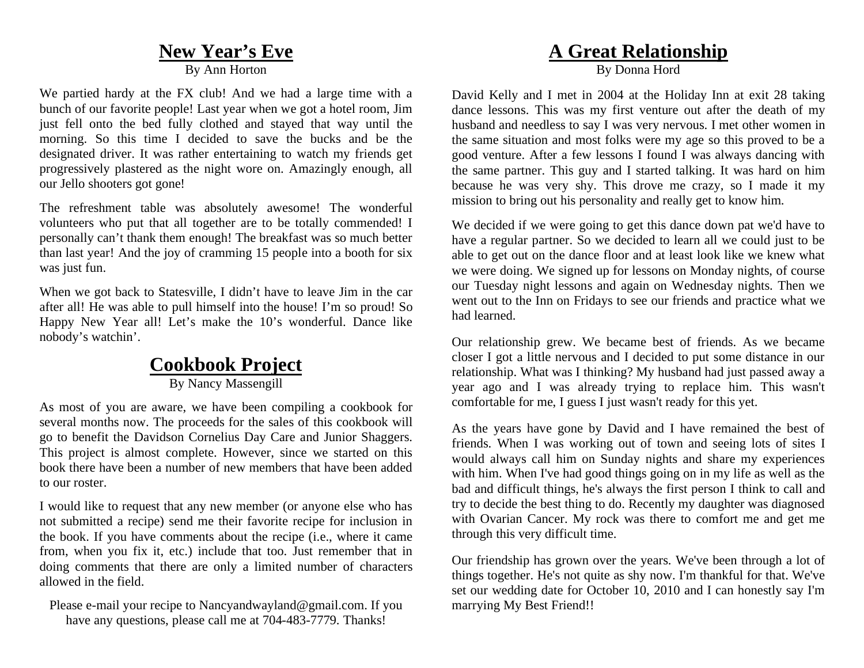## **New Year's Eve**

By Ann Horton

We partied hardy at the FX club! And we had a large time with a bunch of our favorite people! Last year when we got a hotel room, Jim just fell onto the bed fully clothed and stayed that way until the morning. So this time I decided to save the bucks and be the designated driver. It was rather entertaining to watch my friends get progressively plastered as the night wore on. Amazingly enough, all our Jello shooters got gone!

The refreshment table was absolutely awesome! The wonderful volunteers who put that all together are to be totally commended! I personally can't thank them enough! The breakfast was so much better than last year! And the joy of cramming 15 people into a booth for six was just fun.

When we got back to Statesville, I didn't have to leave Jim in the car after all! He was able to pull himself into the house! I'm so proud! So Happy New Year all! Let's make the 10's wonderful. Dance like nobody's watchin'.

## **Cookbook Project**

By Nancy Massengill

As most of you are aware, we have been compiling a cookbook for several months now. The proceeds for the sales of this cookbook will go to benefit the Davidson Cornelius Day Care and Junior Shaggers. This project is almost complete. However, since we started on this book there have been a number of new members that have been added to our roster.

I would like to request that any new member (or anyone else who has not submitted a recipe) send me their favorite recipe for inclusion in the book. If you have comments about the recipe (i.e., where it came from, when you fix it, etc.) include that too. Just remember that in doing comments that there are only a limited number of characters allowed in the field.

Please e-mail your recipe to Nancyandwayland@gmail.com. If you have any questions, please call me at 704-483-7779. Thanks!

## **A Great Relationship**

By Donna Hord

David Kelly and I met in 2004 at the Holiday Inn at exit 28 taking dance lessons. This was my first venture out after the death of my husband and needless to say I was very nervous. I met other women in the same situation and most folks were my age so this proved to be a good venture. After a few lessons I found I was always dancing with the same partner. This guy and I started talking. It was hard on him because he was very shy. This drove me crazy, so I made it my mission to bring out his personality and really get to know him.

We decided if we were going to get this dance down pat we'd have to have a regular partner. So we decided to learn all we could just to be able to get out on the dance floor and at least look like we knew what we were doing. We signed up for lessons on Monday nights, of course our Tuesday night lessons and again on Wednesday nights. Then we went out to the Inn on Fridays to see our friends and practice what we had learned.

Our relationship grew. We became best of friends. As we became closer I got a little nervous and I decided to put some distance in our relationship. What was I thinking? My husband had just passed away a year ago and I was already trying to replace him. This wasn't comfortable for me, I guess I just wasn't ready for this yet.

As the years have gone by David and I have remained the best of friends. When I was working out of town and seeing lots of sites I would always call him on Sunday nights and share my experiences with him. When I've had good things going on in my life as well as the bad and difficult things, he's always the first person I think to call and try to decide the best thing to do. Recently my daughter was diagnosed with Ovarian Cancer. My rock was there to comfort me and get me through this very difficult time.

Our friendship has grown over the years. We've been through a lot of things together. He's not quite as shy now. I'm thankful for that. We've set our wedding date for October 10, 2010 and I can honestly say I'm marrying My Best Friend!!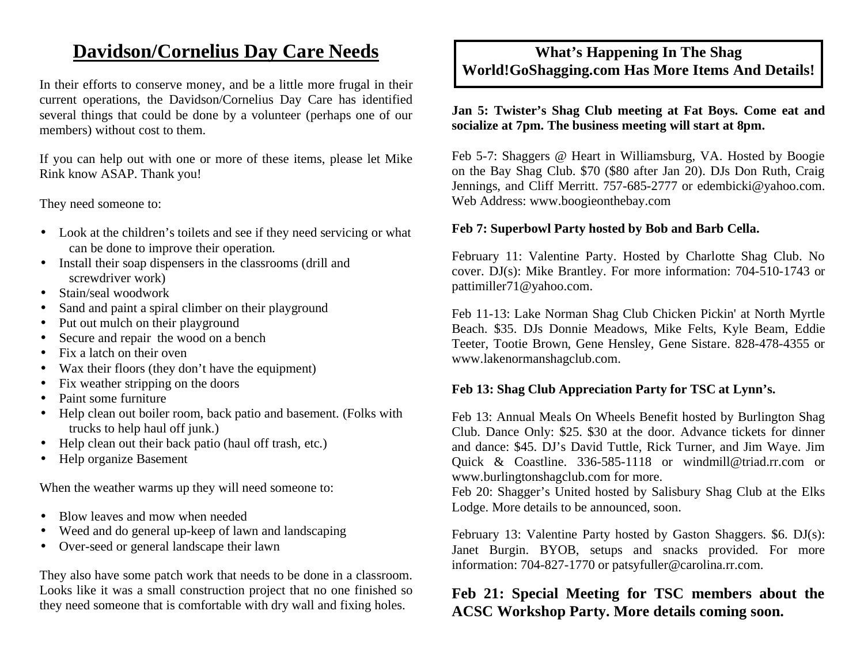## **Davidson/Cornelius Day Care Needs**

In their efforts to conserve money, and be a little more frugal in their current operations, the Davidson/Cornelius Day Care has identified several things that could be done by a volunteer (perhaps one of our members) without cost to them.

If you can help out with one or more of these items, please let Mike Rink know ASAP. Thank you!

They need someone to:

- Look at the children's toilets and see if they need servicing or what can be done to improve their operation.
- Install their soap dispensers in the classrooms (drill and screwdriver work)
- •Stain/seal woodwork
- •Sand and paint a spiral climber on their playground
- •Put out mulch on their playground
- •Secure and repair the wood on a bench
- •Fix a latch on their oven
- •Wax their floors (they don't have the equipment)
- •Fix weather stripping on the doors
- •Paint some furniture
- Help clean out boiler room, back patio and basement. (Folks with trucks to help haul off junk.)
- •Help clean out their back patio (haul off trash, etc.)
- •Help organize Basement

When the weather warms up they will need someone to:

- •Blow leaves and mow when needed
- •Weed and do general up-keep of lawn and landscaping
- •Over-seed or general landscape their lawn

They also have some patch work that needs to be done in a classroom. Looks like it was a small construction project that no one finished so they need someone that is comfortable with dry wall and fixing holes.

### **What's Happening In The Shag World!GoShagging.com Has More Items And Details!**

#### **Jan 5: Twister's Shag Club meeting at Fat Boys. Come eat and socialize at 7pm. The business meeting will start at 8pm.**

Feb 5-7: Shaggers @ Heart in Williamsburg, VA. Hosted by Boogie on the Bay Shag Club. \$70 (\$80 after Jan 20). DJs Don Ruth, Craig Jennings, and Cliff Merritt. 757-685-2777 or edembicki@yahoo.com. Web Address: www.boogieonthebay.com

#### **Feb 7: Superbowl Party hosted by Bob and Barb Cella.**

February 11: Valentine Party. Hosted by Charlotte Shag Club. No cover. DJ(s): Mike Brantley. For more information: 704-510-1743 or pattimiller71@yahoo.com.

Feb 11-13: Lake Norman Shag Club Chicken Pickin' at North Myrtle Beach. \$35. DJs Donnie Meadows, Mike Felts, Kyle Beam, Eddie Teeter, Tootie Brown, Gene Hensley, Gene Sistare. 828-478-4355 or www.lakenormanshagclub.com.

#### **Feb 13: Shag Club Appreciation Party for TSC at Lynn's.**

Feb 13: Annual Meals On Wheels Benefit hosted by Burlington Shag Club. Dance Only: \$25. \$30 at the door. Advance tickets for dinner and dance: \$45. DJ's David Tuttle, Rick Turner, and Jim Waye. Jim Quick & Coastline. 336-585-1118 or windmill@triad.rr.com or www.burlingtonshagclub.com for more.

Feb 20: Shagger's United hosted by Salisbury Shag Club at the Elks Lodge. More details to be announced, soon.

February 13: Valentine Party hosted by Gaston Shaggers. \$6. DJ(s): Janet Burgin. BYOB, setups and snacks provided. For more information: 704-827-1770 or patsyfuller@carolina.rr.com.

### **Feb 21: Special Meeting for TSC members about the ACSC Workshop Party. More details coming soon.**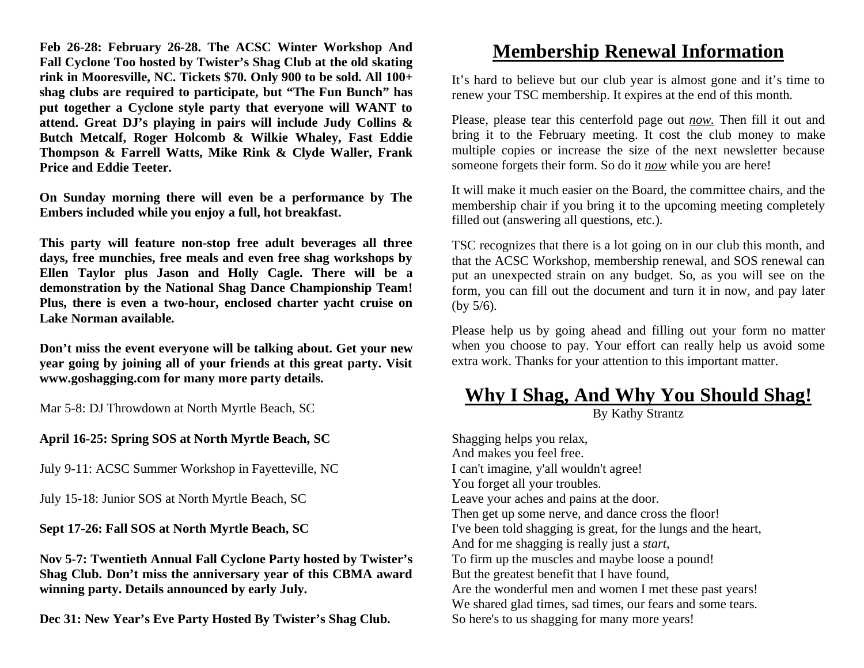**Feb 26-28: February 26-28. The ACSC Winter Workshop And Fall Cyclone Too hosted by Twister's Shag Club at the old skating rink in Mooresville, NC. Tickets \$70. Only 900 to be sold. All 100+ shag clubs are required to participate, but "The Fun Bunch" has put together a Cyclone style party that everyone will WANT to attend. Great DJ's playing in pairs will include Judy Collins & Butch Metcalf, Roger Holcomb & Wilkie Whaley, Fast Eddie Thompson & Farrell Watts, Mike Rink & Clyde Waller, Frank Price and Eddie Teeter.** 

**On Sunday morning there will even be a performance by The Embers included while you enjoy a full, hot breakfast.** 

**This party will feature non-stop free adult beverages all three days, free munchies, free meals and even free shag workshops by Ellen Taylor plus Jason and Holly Cagle. There will be a demonstration by the National Shag Dance Championship Team! Plus, there is even a two-hour, enclosed charter yacht cruise on Lake Norman available.** 

**Don't miss the event everyone will be talking about. Get your new year going by joining all of your friends at this great party. Visit www.goshagging.com for many more party details.** 

Mar 5-8: DJ Throwdown at North Myrtle Beach, SC

**April 16-25: Spring SOS at North Myrtle Beach, SC** 

July 9-11: ACSC Summer Workshop in Fayetteville, NC

July 15-18: Junior SOS at North Myrtle Beach, SC

**Sept 17-26: Fall SOS at North Myrtle Beach, SC** 

**Nov 5-7: Twentieth Annual Fall Cyclone Party hosted by Twister's Shag Club. Don't miss the anniversary year of this CBMA award winning party. Details announced by early July.** 

**Dec 31: New Year's Eve Party Hosted By Twister's Shag Club.** 

## **Membership Renewal Information**

It's hard to believe but our club year is almost gone and it's time to renew your TSC membership. It expires at the end of this month.

Please, please tear this centerfold page out *now.* Then fill it out and bring it to the February meeting. It cost the club money to make multiple copies or increase the size of the next newsletter because someone forgets their form. So do it *now* while you are here!

It will make it much easier on the Board, the committee chairs, and the membership chair if you bring it to the upcoming meeting completely filled out (answering all questions, etc.).

TSC recognizes that there is a lot going on in our club this month, and that the ACSC Workshop, membership renewal, and SOS renewal can put an unexpected strain on any budget. So, as you will see on the form, you can fill out the document and turn it in now, and pay later (by 5/6).

Please help us by going ahead and filling out your form no matter when you choose to pay. Your effort can really help us avoid some extra work. Thanks for your attention to this important matter.

## **Why I Shag, And Why You Should Shag!**

By Kathy Strantz

Shagging helps you relax, And makes you feel free. I can't imagine, y'all wouldn't agree! You forget all your troubles. Leave your aches and pains at the door. Then get up some nerve, and dance cross the floor! I've been told shagging is great, for the lungs and the heart, And for me shagging is really just a *start,* To firm up the muscles and maybe loose a pound! But the greatest benefit that I have found, Are the wonderful men and women I met these past years! We shared glad times, sad times, our fears and some tears. So here's to us shagging for many more years!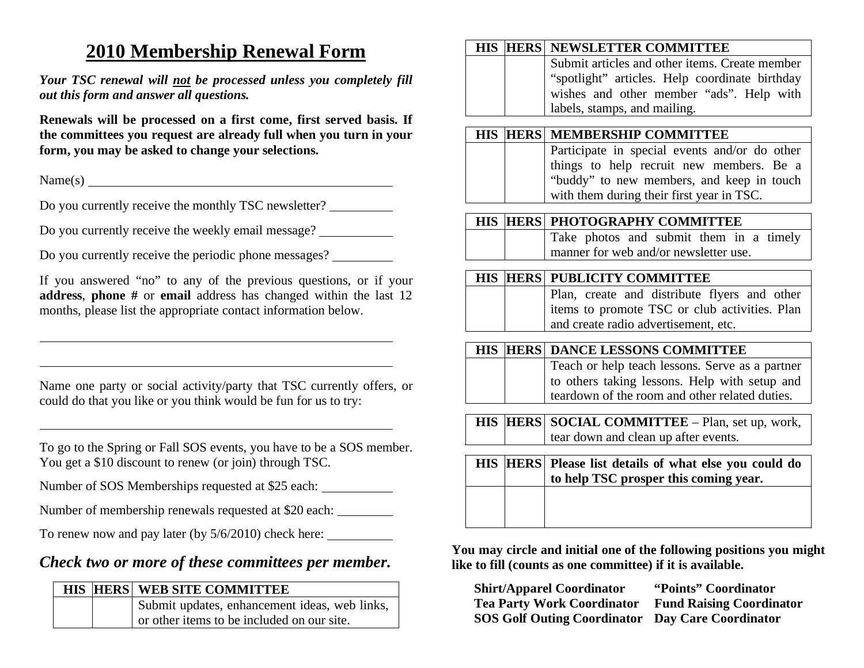## **2010 Membership Renewal Form**

*Your TSC renewal will not be processed unless you completely fill out this form and answer all questions.* 

**Renewals will be processed on a first come, first served basis. If the committees you request are already full when you turn in your form, you may be asked to change your selections.**

Name(s)

Do you currently receive the monthly TSC newsletter?

Do you currently receive the weekly email message?

Do you currently receive the periodic phone messages?

If you answered "no" to any of the previous questions, or if your **address**, **phone #** or **email** address has changed within the last 12 months, please list the appropriate contact information below.

Name one party or social activity/party that TSC currently offers, or could do that you like or you think would be fun for us to try:

To go to the Spring or Fall SOS events, you have to be a SOS member. You get a \$10 discount to renew (or join) through TSC.

Number of SOS Memberships requested at \$25 each:

Number of membership renewals requested at \$20 each:

To renew now and pay later (by 5/6/2010) check here:

## *Check two or more of these committees per member.*

|  | <b>HIS HERS WEB SITE COMMITTEE</b>            |
|--|-----------------------------------------------|
|  | Submit updates, enhancement ideas, web links, |
|  | or other items to be included on our site.    |

#### **HIS HERS NEWSLETTER COMMITTEE**

Submit articles and other items. Create member "spotlight" articles. Help coordinate birthday wishes and other member "ads". Help with labels, stamps, and mailing.

#### **HIS HERS MEMBERSHIP COMMITTEE**

 Participate in special events and/or do other things to help recruit new members. Be a "buddy" to new members, and keep in touch with them during their first year in TSC.

#### **HIS HERS PHOTOGRAPHY COMMITTEE**

 Take photos and submit them in a timely manner for web and/or newsletter use.

#### **HIS HERS PUBLICITY COMMITTEE**

 Plan, create and distribute flyers and other items to promote TSC or club activities. Plan and create radio advertisement, etc.

#### **HIS HERS DANCE LESSONS COMMITTEE**

Teach or help teach lessons. Serve as a partner to others taking lessons. Help with setup and teardown of the room and other related duties.

**HIS HERS SOCIAL COMMITTEE** – Plan, set up, work, tear down and clean up after events.

| to help TSC prosper this coming year. |
|---------------------------------------|
|                                       |
|                                       |

**You may circle and initial one of the following positions you might like to fill (counts as one committee) if it is available.** 

**Shirt/Apparel Coordinator "Points" Coordinator Tea Party Work Coordinator Fund Raising Coordinator SOS Golf Outing Coordinator Day Care Coordinator**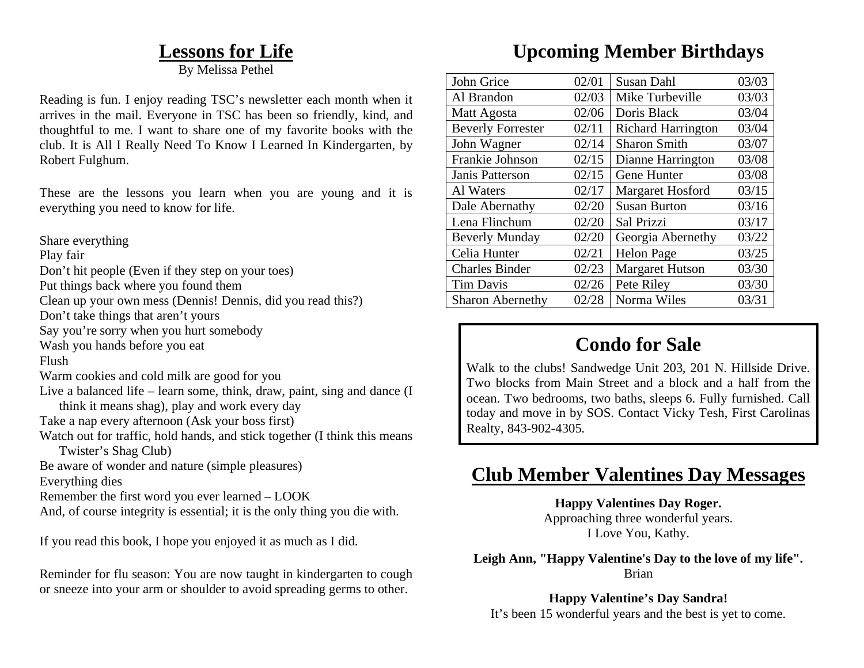## **Lessons for Life**

By Melissa Pethel

Reading is fun. I enjoy reading TSC's newsletter each month when it arrives in the mail. Everyone in TSC has been so friendly, kind, and thoughtful to me. I want to share one of my favorite books with the club. It is All I Really Need To Know I Learned In Kindergarten, by Robert Fulghum.

These are the lessons you learn when you are young and it is everything you need to know for life.

Share everything

Play fair

Don't hit people (Even if they step on your toes)

Put things back where you found them

Clean up your own mess (Dennis! Dennis, did you read this?)

Don't take things that aren't yours

Say you're sorry when you hurt somebody

Wash you hands before you eat

Flush

- Warm cookies and cold milk are good for you
- Live a balanced life learn some, think, draw, paint, sing and dance (I think it means shag), play and work every day
- Take a nap every afternoon (Ask your boss first)

Watch out for traffic, hold hands, and stick together (I think this means Twister's Shag Club)

Be aware of wonder and nature (simple pleasures)

Everything dies

Remember the first word you ever learned – LOOK

And, of course integrity is essential; it is the only thing you die with.

If you read this book, I hope you enjoyed it as much as I did.

Reminder for flu season: You are now taught in kindergarten to cough or sneeze into your arm or shoulder to avoid spreading germs to other.

## **Upcoming Member Birthdays**

| John Grice               | 02/01 | <b>Susan Dahl</b>         | 03/03 |
|--------------------------|-------|---------------------------|-------|
| Al Brandon               | 02/03 | Mike Turbeville           | 03/03 |
| Matt Agosta              | 02/06 | Doris Black               | 03/04 |
| <b>Beverly Forrester</b> | 02/11 | <b>Richard Harrington</b> | 03/04 |
| John Wagner              | 02/14 | <b>Sharon Smith</b>       | 03/07 |
| Frankie Johnson          | 02/15 | Dianne Harrington         | 03/08 |
| Janis Patterson          | 02/15 | Gene Hunter               | 03/08 |
| Al Waters                | 02/17 | Margaret Hosford          | 03/15 |
| Dale Abernathy           | 02/20 | <b>Susan Burton</b>       | 03/16 |
| Lena Flinchum            | 02/20 | Sal Prizzi                | 03/17 |
| <b>Beverly Munday</b>    | 02/20 | Georgia Abernethy         | 03/22 |
| Celia Hunter             | 02/21 | <b>Helon Page</b>         | 03/25 |
| <b>Charles Binder</b>    | 02/23 | <b>Margaret Hutson</b>    | 03/30 |
| <b>Tim Davis</b>         | 02/26 | Pete Riley                | 03/30 |
| <b>Sharon Abernethy</b>  | 02/28 | Norma Wiles               | 03/31 |

## **Condo for Sale**

Walk to the clubs! Sandwedge Unit 203, 201 N. Hillside Drive. Two blocks from Main Street and a block and a half from the ocean. Two bedrooms, two baths, sleeps 6. Fully furnished. Call today and move in by SOS. Contact Vicky Tesh, First Carolinas Realty, 843-902-4305.

## **Club Member Valentines Day Messages**

**Happy Valentines Day Roger.** 

Approaching three wonderful years. I Love You, Kathy.

**Leigh Ann, "Happy Valentine's Day to the love of my life".**  Brian

**Happy Valentine's Day Sandra!**  It's been 15 wonderful years and the best is yet to come.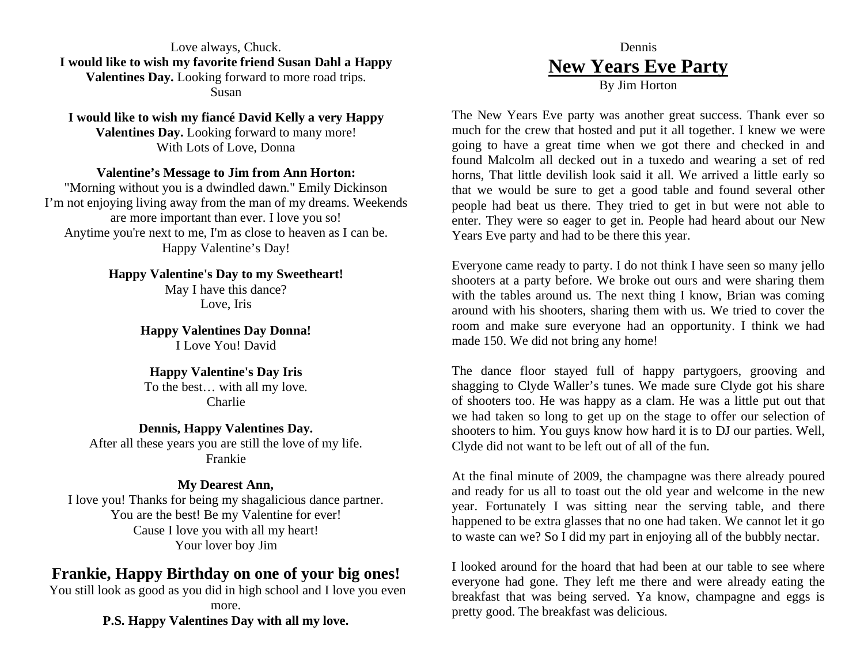Love always, Chuck. **I would like to wish my favorite friend Susan Dahl a Happy Valentines Day.** Looking forward to more road trips. Susan

**I would like to wish my fiancé David Kelly a very Happy Valentines Day.** Looking forward to many more! With Lots of Love, Donna

#### **Valentine's Message to Jim from Ann Horton:**

"Morning without you is a dwindled dawn." Emily Dickinson I'm not enjoying living away from the man of my dreams. Weekends are more important than ever. I love you so! Anytime you're next to me, I'm as close to heaven as I can be. Happy Valentine's Day!

> **Happy Valentine's Day to my Sweetheart!**  May I have this dance?

Love, Iris

**Happy Valentines Day Donna!**  I Love You! David

#### **Happy Valentine's Day Iris**  To the best… with all my love. Charlie

**Dennis, Happy Valentines Day.**  After all these years you are still the love of my life. Frankie

#### **My Dearest Ann,**

I love you! Thanks for being my shagalicious dance partner. You are the best! Be my Valentine for ever! Cause I love you with all my heart! Your lover boy Jim

#### **Frankie, Happy Birthday on one of your big ones!**

 You still look as good as you did in high school and I love you even more.

**P.S. Happy Valentines Day with all my love.** 

#### Dennis **New Years Eve Party** By Jim Horton

The New Years Eve party was another great success. Thank ever so much for the crew that hosted and put it all together. I knew we were going to have a great time when we got there and checked in and found Malcolm all decked out in a tuxedo and wearing a set of red horns, That little devilish look said it all. We arrived a little early so that we would be sure to get a good table and found several other people had beat us there. They tried to get in but were not able to enter. They were so eager to get in. People had heard about our New Years Eve party and had to be there this year.

Everyone came ready to party. I do not think I have seen so many jello shooters at a party before. We broke out ours and were sharing them with the tables around us. The next thing I know, Brian was coming around with his shooters, sharing them with us. We tried to cover the room and make sure everyone had an opportunity. I think we had made 150. We did not bring any home!

The dance floor stayed full of happy partygoers, grooving and shagging to Clyde Waller's tunes. We made sure Clyde got his share of shooters too. He was happy as a clam. He was a little put out that we had taken so long to get up on the stage to offer our selection of shooters to him. You guys know how hard it is to DJ our parties. Well, Clyde did not want to be left out of all of the fun.

At the final minute of 2009, the champagne was there already poured and ready for us all to toast out the old year and welcome in the new year. Fortunately I was sitting near the serving table, and there happened to be extra glasses that no one had taken. We cannot let it go to waste can we? So I did my part in enjoying all of the bubbly nectar.

I looked around for the hoard that had been at our table to see where everyone had gone. They left me there and were already eating the breakfast that was being served. Ya know, champagne and eggs is pretty good. The breakfast was delicious.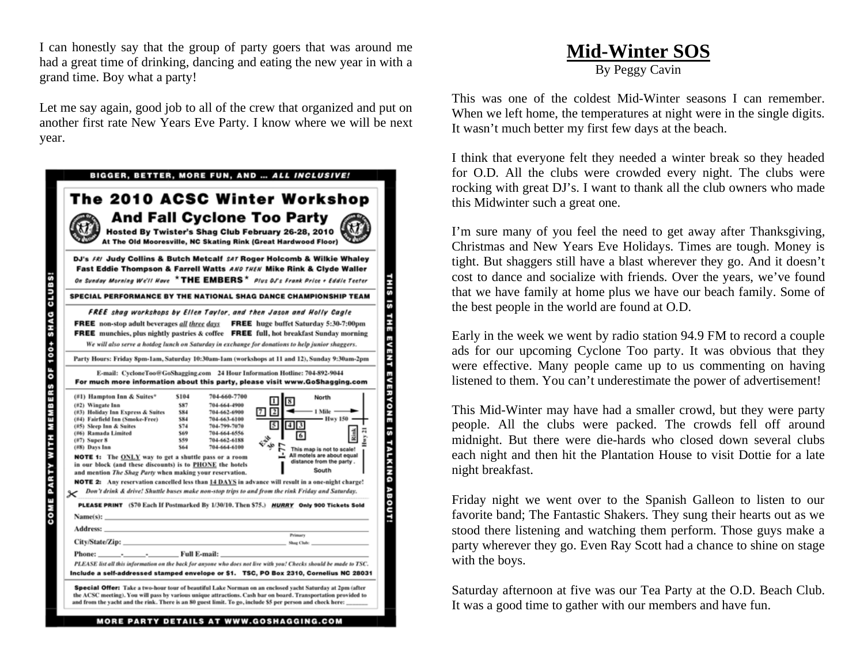I can honestly say that the group of party goers that was around me had a great time of drinking, dancing and eating the new year in with a grand time. Boy what a party!

Let me say again, good job to all of the crew that organized and put on another first rate New Years Eve Party. I know where we will be next year.

| The 2010 ACSC Winter Workshop<br><b>And Fall Cyclone Too Party</b><br>Hosted By Twister's Shag Club February 26-28, 2010<br>At The Old Mooresville, NC Skating Rink (Great Hardwood Floor)                                                                                                                                                                                                                                                                                                                                                                                                                                                                                                                                            |                                                               |                                                                                                                              |                                        |                                                                                                                                    |
|---------------------------------------------------------------------------------------------------------------------------------------------------------------------------------------------------------------------------------------------------------------------------------------------------------------------------------------------------------------------------------------------------------------------------------------------------------------------------------------------------------------------------------------------------------------------------------------------------------------------------------------------------------------------------------------------------------------------------------------|---------------------------------------------------------------|------------------------------------------------------------------------------------------------------------------------------|----------------------------------------|------------------------------------------------------------------------------------------------------------------------------------|
| DJ's FRI Judy Collins & Butch Metcalf SAT Roger Holcomb & Wilkie Whaley<br>Fast Eddie Thompson & Farrell Watts AND THEN Mike Rink & Clyde Waller<br>On Sunday Morning We'll Have $\cdot$ THE EMBERS $\star$ Plus OJ's Frank Price + Eddie Teeter                                                                                                                                                                                                                                                                                                                                                                                                                                                                                      |                                                               |                                                                                                                              |                                        |                                                                                                                                    |
| SPECIAL PERFORMANCE BY THE NATIONAL SHAG DANCE CHAMPIONSHIP TEAM<br>FREE shag workshops by Ellen Taylor, and then Jason and Holly Cagle                                                                                                                                                                                                                                                                                                                                                                                                                                                                                                                                                                                               |                                                               |                                                                                                                              |                                        |                                                                                                                                    |
| <b>FREE</b> non-stop adult beverages all three days<br><b>FREE</b> munchies, plus nightly pastries & coffee <b>FREE</b> full, hot breakfast Sunday morning<br>We will also serve a hotdog lunch on Saturday in exchange for donations to help junior shaggers.                                                                                                                                                                                                                                                                                                                                                                                                                                                                        |                                                               |                                                                                                                              |                                        | <b>FREE</b> huge buffet Saturday 5:30-7:00pm                                                                                       |
| Party Hours: Friday Spm-1am, Saturday 10:30am-1am (workshops at 11 and 12), Sunday 9:30am-2pm<br>E-mail: CycloneToo@GoShagging.com 24 Hour Information Hotline: 704-892-9044<br>For much more information about this party, please visit www.GoShagging.com                                                                                                                                                                                                                                                                                                                                                                                                                                                                           |                                                               |                                                                                                                              |                                        |                                                                                                                                    |
| (#1) Hampton Inn & Suites*<br>$(#2)$ Wingate Inn<br>(#3) Holiday Inn Express & Suites<br>(#4) Fairfield Inn (Smoke-Free)<br>(#5) Sleep Inn & Suites<br>(#6) Ramada Limited<br>$(W7)$ Super 8<br>(#8) Days Inn<br><b>NOTE 1:</b> The ONLY way to get a shuttle pass or a room<br>in our block (and these discounts) is to PHONE the hotels<br>and mention The Shag Party when making your reservation.<br><b>NOTE 2:</b> Any reservation cancelled less than 14 DAYS in advance will result in a one-night charge!<br>Don't drink & drive! Shuttle buses make non-stop trips to and from the rink Friday and Saturday.<br>×<br>PLEASE PRINT (\$70 Each If Postmarked By 1/30/10. Then \$75.) HURRY Only 900 Tickets Sold<br>Name(s): _ | \$104<br>\$87<br>\$84<br>\$84<br>\$74<br>\$69<br>\$59<br>\$64 | 704-660-7700<br>704-664-4900<br>704-662-6900<br>704-663-6100<br>704-799-7070<br>704-664-6556<br>704-662-6188<br>704-664-6100 | <b>81</b><br>7   2<br>5<br> 4 3 <br>中口 | North<br>- 1 Mile -<br>- Hwy 150 -<br>This map is not to scale!<br>All motels are about equal<br>distance from the party.<br>South |
| Address: North Commission and Commission and Commission and Commission and Commission and Commission                                                                                                                                                                                                                                                                                                                                                                                                                                                                                                                                                                                                                                  |                                                               |                                                                                                                              | <b>Primary</b>                         | Shag Club:                                                                                                                         |
| PLEASE list all this information on the back for anyone who does not live with you! Checks should be made to TSC.<br>Include a self-addressed stamped envelope or \$1.   TSC, PO Box 2310, Cornelius NC 28031                                                                                                                                                                                                                                                                                                                                                                                                                                                                                                                         |                                                               |                                                                                                                              |                                        |                                                                                                                                    |
| Special Offer: Take a two-hour tour of beautiful Lake Norman on an enclosed yacht Saturday at 2pm (after<br>the ACSC meeting). You will pass by various unique attractions. Cash bar on board. Transportation provided to<br>and from the yacht and the rink. There is an 80 guest limit. To go, include \$5 per person and check here:                                                                                                                                                                                                                                                                                                                                                                                               |                                                               |                                                                                                                              |                                        |                                                                                                                                    |

## **Mid-Winter SOS**

By Peggy Cavin

This was one of the coldest Mid-Winter seasons I can remember. When we left home, the temperatures at night were in the single digits. It wasn't much better my first few days at the beach.

I think that everyone felt they needed a winter break so they headed for O.D. All the clubs were crowded every night. The clubs were rocking with great DJ's. I want to thank all the club owners who made this Midwinter such a great one.

I'm sure many of you feel the need to get away after Thanksgiving, Christmas and New Years Eve Holidays. Times are tough. Money is tight. But shaggers still have a blast wherever they go. And it doesn't cost to dance and socialize with friends. Over the years, we've found that we have family at home plus we have our beach family. Some of the best people in the world are found at O.D.

Early in the week we went by radio station 94.9 FM to record a couple ads for our upcoming Cyclone Too party. It was obvious that they were effective. Many people came up to us commenting on having listened to them. You can't underestimate the power of advertisement!

This Mid-Winter may have had a smaller crowd, but they were party people. All the clubs were packed. The crowds fell off around midnight. But there were die-hards who closed down several clubs each night and then hit the Plantation House to visit Dottie for a late night breakfast.

Friday night we went over to the Spanish Galleon to listen to our favorite band; The Fantastic Shakers. They sung their hearts out as we stood there listening and watching them perform. Those guys make a party wherever they go. Even Ray Scott had a chance to shine on stage with the boys.

Saturday afternoon at five was our Tea Party at the O.D. Beach Club. It was a good time to gather with our members and have fun.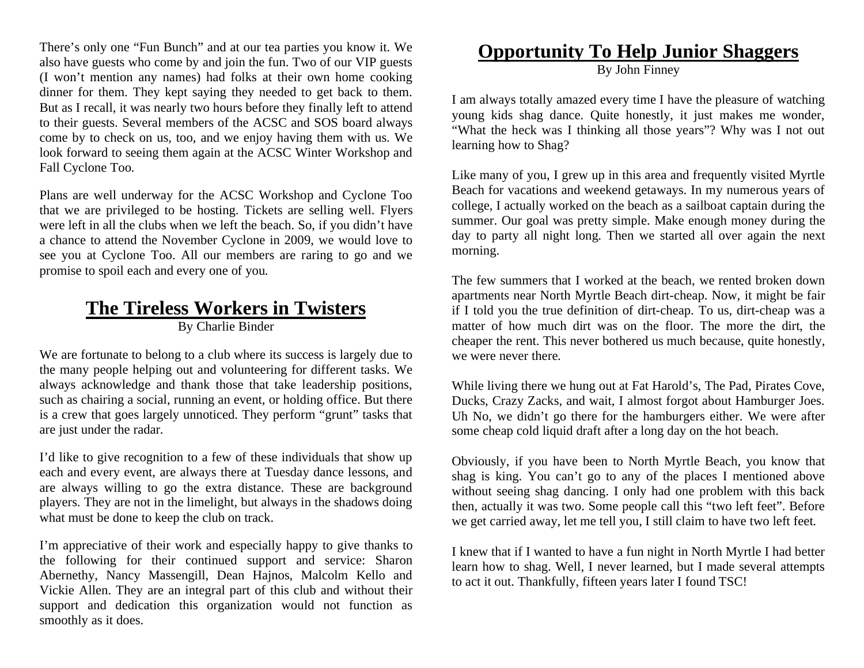There's only one "Fun Bunch" and at our tea parties you know it. We also have guests who come by and join the fun. Two of our VIP guests (I won't mention any names) had folks at their own home cooking dinner for them. They kept saying they needed to get back to them. But as I recall, it was nearly two hours before they finally left to attend to their guests. Several members of the ACSC and SOS board always come by to check on us, too, and we enjoy having them with us. We look forward to seeing them again at the ACSC Winter Workshop and Fall Cyclone Too.

Plans are well underway for the ACSC Workshop and Cyclone Too that we are privileged to be hosting. Tickets are selling well. Flyers were left in all the clubs when we left the beach. So, if you didn't have a chance to attend the November Cyclone in 2009, we would love to see you at Cyclone Too. All our members are raring to go and we promise to spoil each and every one of you.

## **The Tireless Workers in Twisters**

By Charlie Binder

We are fortunate to belong to a club where its success is largely due to the many people helping out and volunteering for different tasks. We always acknowledge and thank those that take leadership positions, such as chairing a social, running an event, or holding office. But there is a crew that goes largely unnoticed. They perform "grunt" tasks that are just under the radar.

I'd like to give recognition to a few of these individuals that show up each and every event, are always there at Tuesday dance lessons, and are always willing to go the extra distance. These are background players. They are not in the limelight, but always in the shadows doing what must be done to keep the club on track.

I'm appreciative of their work and especially happy to give thanks to the following for their continued support and service: Sharon Abernethy, Nancy Massengill, Dean Hajnos, Malcolm Kello and Vickie Allen. They are an integral part of this club and without their support and dedication this organization would not function as smoothly as it does.

## **Opportunity To Help Junior Shaggers**

By John Finney

I am always totally amazed every time I have the pleasure of watching young kids shag dance. Quite honestly, it just makes me wonder, "What the heck was I thinking all those years"? Why was I not out learning how to Shag?

Like many of you, I grew up in this area and frequently visited Myrtle Beach for vacations and weekend getaways. In my numerous years of college, I actually worked on the beach as a sailboat captain during the summer. Our goal was pretty simple. Make enough money during the day to party all night long. Then we started all over again the next morning.

The few summers that I worked at the beach, we rented broken down apartments near North Myrtle Beach dirt-cheap. Now, it might be fair if I told you the true definition of dirt-cheap. To us, dirt-cheap was a matter of how much dirt was on the floor. The more the dirt, the cheaper the rent. This never bothered us much because, quite honestly, we were never there.

While living there we hung out at Fat Harold's, The Pad, Pirates Cove, Ducks, Crazy Zacks, and wait, I almost forgot about Hamburger Joes. Uh No, we didn't go there for the hamburgers either. We were after some cheap cold liquid draft after a long day on the hot beach.

Obviously, if you have been to North Myrtle Beach, you know that shag is king. You can't go to any of the places I mentioned above without seeing shag dancing. I only had one problem with this back then, actually it was two. Some people call this "two left feet". Before we get carried away, let me tell you, I still claim to have two left feet.

I knew that if I wanted to have a fun night in North Myrtle I had better learn how to shag. Well, I never learned, but I made several attempts to act it out. Thankfully, fifteen years later I found TSC!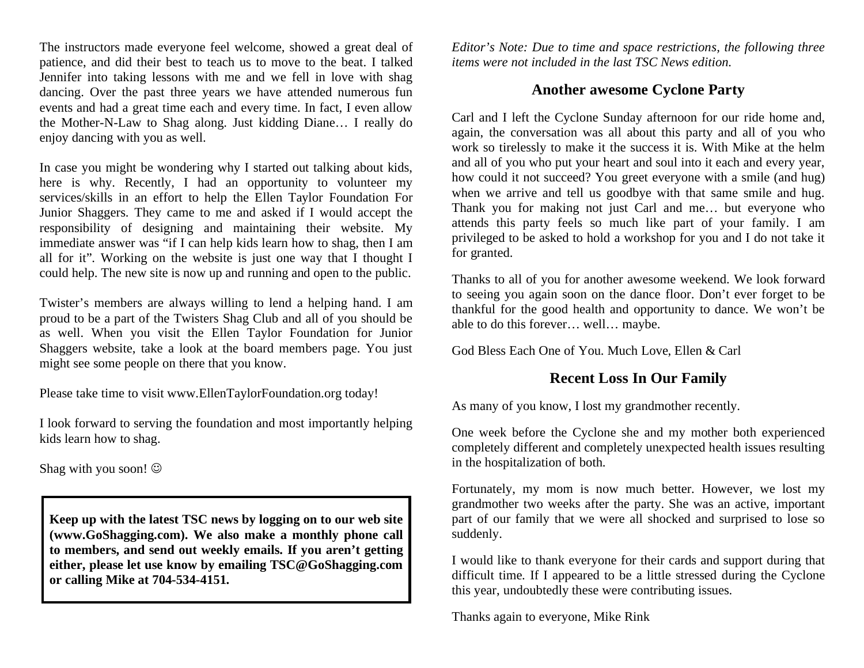The instructors made everyone feel welcome, showed a great deal of patience, and did their best to teach us to move to the beat. I talked Jennifer into taking lessons with me and we fell in love with shag dancing. Over the past three years we have attended numerous fun events and had a great time each and every time. In fact, I even allow the Mother-N-Law to Shag along. Just kidding Diane… I really do enjoy dancing with you as well.

In case you might be wondering why I started out talking about kids, here is why. Recently, I had an opportunity to volunteer my services/skills in an effort to help the Ellen Taylor Foundation For Junior Shaggers. They came to me and asked if I would accept the responsibility of designing and maintaining their website. My immediate answer was "if I can help kids learn how to shag, then I am all for it". Working on the website is just one way that I thought I could help. The new site is now up and running and open to the public.

Twister's members are always willing to lend a helping hand. I am proud to be a part of the Twisters Shag Club and all of you should be as well. When you visit the Ellen Taylor Foundation for Junior Shaggers website, take a look at the board members page. You just might see some people on there that you know.

Please take time to visit www.EllenTaylorFoundation.org today!

I look forward to serving the foundation and most importantly helping kids learn how to shag.

Shag with you soon!

**Keep up with the latest TSC news by logging on to our web site (www.GoShagging.com). We also make a monthly phone call to members, and send out weekly emails. If you aren't getting either, please let use know by emailing TSC@GoShagging.com or calling Mike at 704-534-4151.** 

*Editor's Note: Due to time and space restrictions, the following three items were not included in the last TSC News edition.* 

#### **Another awesome Cyclone Party**

Carl and I left the Cyclone Sunday afternoon for our ride home and, again, the conversation was all about this party and all of you who work so tirelessly to make it the success it is. With Mike at the helm and all of you who put your heart and soul into it each and every year, how could it not succeed? You greet everyone with a smile (and hug) when we arrive and tell us goodbye with that same smile and hug. Thank you for making not just Carl and me… but everyone who attends this party feels so much like part of your family. I am privileged to be asked to hold a workshop for you and I do not take it for granted.

Thanks to all of you for another awesome weekend. We look forward to seeing you again soon on the dance floor. Don't ever forget to be thankful for the good health and opportunity to dance. We won't be able to do this forever… well… maybe.

God Bless Each One of You. Much Love, Ellen & Carl

#### **Recent Loss In Our Family**

As many of you know, I lost my grandmother recently.

One week before the Cyclone she and my mother both experienced completely different and completely unexpected health issues resulting in the hospitalization of both.

Fortunately, my mom is now much better. However, we lost my grandmother two weeks after the party. She was an active, important part of our family that we were all shocked and surprised to lose so suddenly.

I would like to thank everyone for their cards and support during that difficult time. If I appeared to be a little stressed during the Cyclone this year, undoubtedly these were contributing issues.

Thanks again to everyone, Mike Rink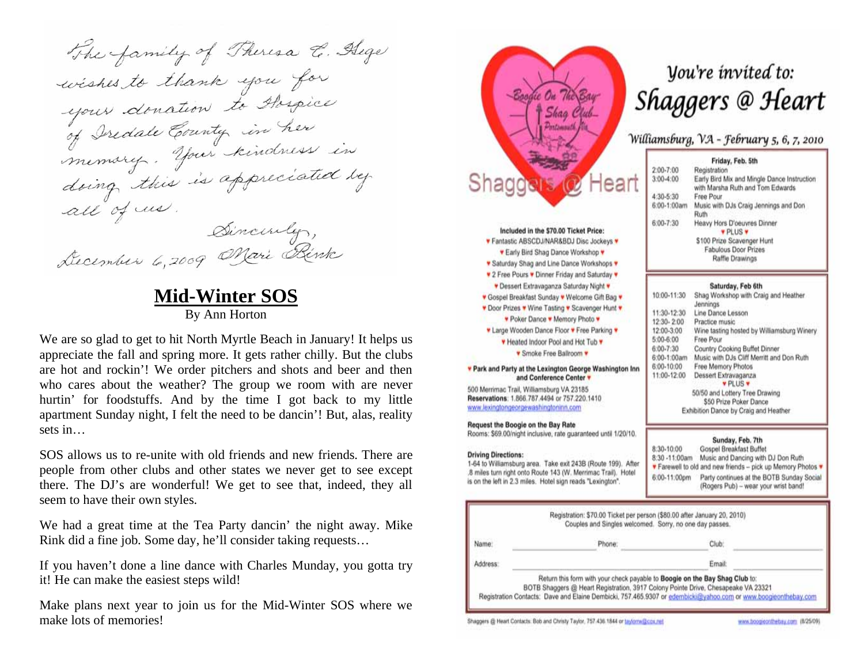The family of Theresa E. Hege wishes to thank you for your donation to Abspice<br>of Iredate County in her doing this is appreciated by all of us. Sincerely, December 6,2009 Marie Rink

#### **Mid-Winter SOS** By Ann Horton

We are so glad to get to hit North Myrtle Beach in January! It helps us appreciate the fall and spring more. It gets rather chilly. But the clubs are hot and rockin'! We order pitchers and shots and beer and then who cares about the weather? The group we room with are never hurtin' for foodstuffs. And by the time I got back to my little apartment Sunday night, I felt the need to be dancin'! But, alas, reality sets in…

SOS allows us to re-unite with old friends and new friends. There are people from other clubs and other states we never get to see except there. The DJ's are wonderful! We get to see that, indeed, they all seem to have their own styles.

We had a great time at the Tea Party dancin' the night away. Mike Rink did a fine job. Some day, he'll consider taking requests…

If you haven't done a line dance with Charles Munday, you gotta try it! He can make the easiest steps wild!

Make plans next year to join us for the Mid-Winter SOS where we make lots of memories!



## Vou're invited to: Shaggers @ Heart

#### Williamsburg, VA - February 5, 6, 7, 2010

|           | Friday, Feb. 5th                                                                |
|-----------|---------------------------------------------------------------------------------|
| $-7:00$   | Registration                                                                    |
| $-4:00$   | Early Bird Mix and Mingle Dance Instruction<br>with Marsha Ruth and Tom Edwards |
| $-5:30$   | Free Pour                                                                       |
| $-1:00am$ | Music with DJs Craig Jennings and Don<br>Ruth                                   |
| $-7:30$   | Heavy Hors D'oeuvres Dinner<br><b>VPLUS V</b>                                   |
|           | \$100 Prize Scavenger Hunt                                                      |
|           | Fabulous Door Prizes                                                            |
|           | Raffle Drawings                                                                 |

#### Saturday, Feb 6th

| 10:00-11:30           | Shag Workshop with Craig and Heather<br>Jennings                                                |
|-----------------------|-------------------------------------------------------------------------------------------------|
| 11:30-12:30           | Line Dance Lesson                                                                               |
| 12:30-2:00            | Practice music                                                                                  |
| 12:00-3:00            | Wine tasting hosted by Williamsburg Winery.                                                     |
| 5:00-6:00             | Free Pour                                                                                       |
| $$:00-7:30$           | Country Cooking Buffet Dinner                                                                   |
| 3:00-1:00am           | Music with DJs Cliff Merritt and Don Ruth                                                       |
| 3:00-10:00            | Free Memory Photos                                                                              |
| 11:00-12:00           | Dessert Extravaganza<br><b>v</b> PLUS v                                                         |
|                       | 50/50 and Lottery Tree Drawing                                                                  |
|                       | \$50 Prize Poker Dance                                                                          |
|                       | Exhibition Dance by Craig and Heather                                                           |
|                       | Sunday, Feb. 7th                                                                                |
| 1:30-10:00            | Gospel Breakfast Buffet                                                                         |
| 3:30 -11:00am         | Music and Dancing with DJ Don Ruth<br>Farewell to old and new friends - pick up Memory Photos * |
| <b>CIAO 44-00-00-</b> | Doctri continuou of the DATD Gunday Goole                                                       |

(Rogers Pub) - wear your wrist band!

|          | Registration: \$70.00 Ticket per person (\$80.00 after January 20, 2010)<br>Couples and Singles welcomed. Sorry, no one day passes.                                                                                                                                                |        |  |
|----------|------------------------------------------------------------------------------------------------------------------------------------------------------------------------------------------------------------------------------------------------------------------------------------|--------|--|
| Name:    | Phone:                                                                                                                                                                                                                                                                             | Club:  |  |
| Address: |                                                                                                                                                                                                                                                                                    | Email: |  |
|          | Return this form with your check payable to Boogle on the Bay Shag Club to:<br>BOTB Shaggers @ Heart Registration, 3917 Colony Pointe Drive, Chesapeake VA 23321<br>Registration Contacts: Dave and Elaine Dembicki, 757,465,9307 or edembicki@yahoo.com or www.boogieonthebay.com |        |  |

Shaggers @ Heart Contacts: Bob and Christy Taylor, 757-436.1844 or taylorra@cox.net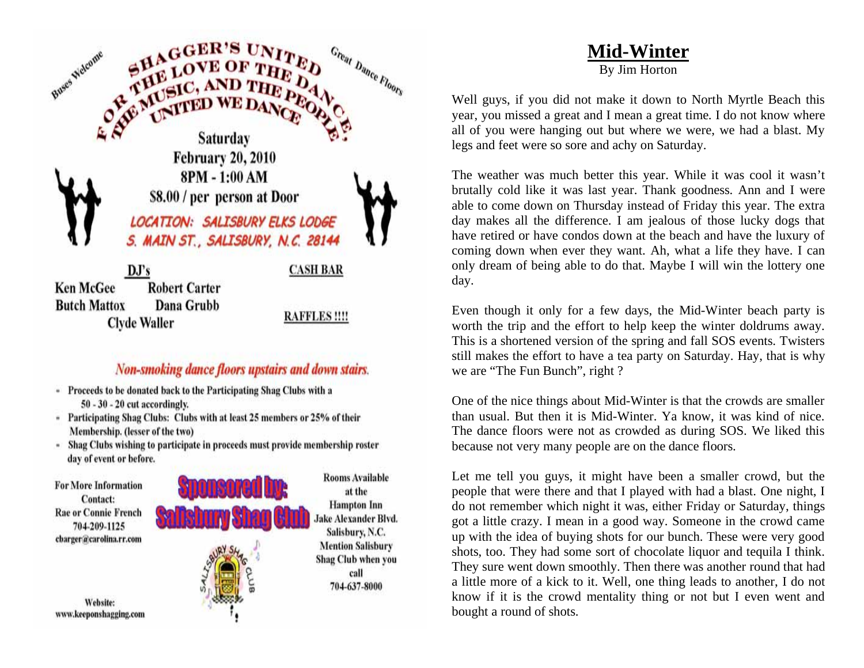

#### **Non-smoking dance floors upstairs and down stairs.**

- Proceeds to be donated back to the Participating Shag Clubs with a  $50 - 30 - 20$  cut accordingly.
- Participating Shag Clubs: Clubs with at least 25 members or 25% of their Membership. (lesser of the two)
- Shag Clubs wishing to participate in proceeds must provide membership roster day of event or before.



## **Mid-Winter**

By Jim Horton

Well guys, if you did not make it down to North Myrtle Beach this year, you missed a great and I mean a great time. I do not know where all of you were hanging out but where we were, we had a blast. My legs and feet were so sore and achy on Saturday.

The weather was much better this year. While it was cool it wasn't brutally cold like it was last year. Thank goodness. Ann and I were able to come down on Thursday instead of Friday this year. The extra day makes all the difference. I am jealous of those lucky dogs that have retired or have condos down at the beach and have the luxury of coming down when ever they want. Ah, what a life they have. I can only dream of being able to do that. Maybe I will win the lottery one day.

Even though it only for a few days, the Mid-Winter beach party is worth the trip and the effort to help keep the winter doldrums away. This is a shortened version of the spring and fall SOS events. Twisters still makes the effort to have a tea party on Saturday. Hay, that is why we are "The Fun Bunch", right ?

One of the nice things about Mid-Winter is that the crowds are smaller than usual. But then it is Mid-Winter. Ya know, it was kind of nice. The dance floors were not as crowded as during SOS. We liked this because not very many people are on the dance floors.

Let me tell you guys, it might have been a smaller crowd, but the people that were there and that I played with had a blast. One night, I do not remember which night it was, either Friday or Saturday, things got a little crazy. I mean in a good way. Someone in the crowd came up with the idea of buying shots for our bunch. These were very good shots, too. They had some sort of chocolate liquor and tequila I think. They sure went down smoothly. Then there was another round that had a little more of a kick to it. Well, one thing leads to another, I do not know if it is the crowd mentality thing or not but I even went and bought a round of shots.